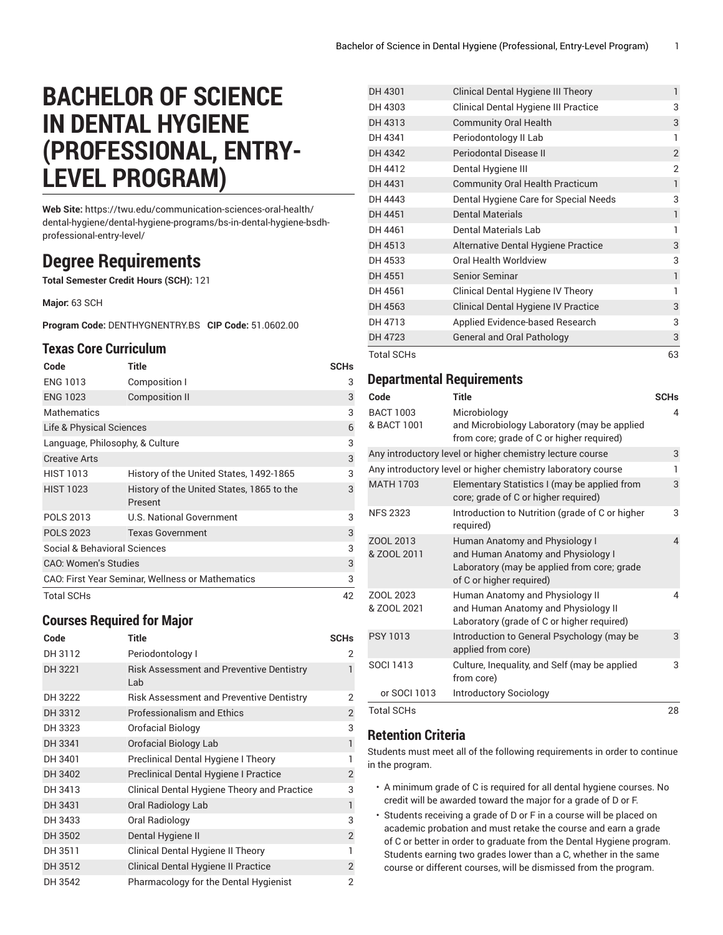# **BACHELOR OF SCIENCE IN DENTAL HYGIENE (PROFESSIONAL, ENTRY-LEVEL PROGRAM)**

**Web Site:** https://twu.edu/communication-sciences-oral-health/ dental-hygiene/dental-hygiene-programs/bs-in-dental-hygiene-bsdhprofessional-entry-level/

## **Degree Requirements**

**Total Semester Credit Hours (SCH):** 121

**Major:** 63 SCH

**Program Code:** DENTHYGNENTRY.BS **CIP Code:** 51.0602.00

#### **Texas Core Curriculum**

| Code                                             | Title                                                | <b>SCHs</b> |
|--------------------------------------------------|------------------------------------------------------|-------------|
| <b>ENG 1013</b>                                  | Composition I                                        | 3           |
| <b>ENG 1023</b>                                  | <b>Composition II</b>                                | 3           |
| Mathematics                                      |                                                      | 3           |
| Life & Physical Sciences                         | 6                                                    |             |
| Language, Philosophy, & Culture                  | 3                                                    |             |
| <b>Creative Arts</b>                             |                                                      | 3           |
| <b>HIST 1013</b>                                 | History of the United States, 1492-1865              | 3           |
| <b>HIST 1023</b>                                 | History of the United States, 1865 to the<br>Present | 3           |
| POLS 2013                                        | U.S. National Government                             | 3           |
| <b>POLS 2023</b>                                 | <b>Texas Government</b>                              | 3           |
| Social & Behavioral Sciences                     | 3                                                    |             |
| <b>CAO: Women's Studies</b>                      |                                                      |             |
| CAO: First Year Seminar, Wellness or Mathematics |                                                      |             |
| <b>Total SCHs</b>                                |                                                      | 42          |

#### **Courses Required for Major**

| Code    | <b>Title</b>                                           | <b>SCHs</b>    |
|---------|--------------------------------------------------------|----------------|
| DH 3112 | Periodontology I                                       | 2              |
| DH 3221 | <b>Risk Assessment and Preventive Dentistry</b><br>Lab | 1              |
| DH 3222 | <b>Risk Assessment and Preventive Dentistry</b>        | 2              |
| DH 3312 | <b>Professionalism and Ethics</b>                      | $\overline{2}$ |
| DH 3323 | Orofacial Biology                                      | 3              |
| DH 3341 | Orofacial Biology Lab                                  | 1              |
| DH 3401 | Preclinical Dental Hygiene I Theory                    | 1              |
| DH 3402 | Preclinical Dental Hygiene I Practice                  | $\overline{2}$ |
| DH 3413 | Clinical Dental Hygiene Theory and Practice            | 3              |
| DH 3431 | Oral Radiology Lab                                     | $\mathbf{1}$   |
| DH 3433 | Oral Radiology                                         | 3              |
| DH 3502 | Dental Hygiene II                                      | $\overline{2}$ |
| DH 3511 | Clinical Dental Hygiene II Theory                      | 1              |
| DH 3512 | Clinical Dental Hygiene II Practice                    | $\overline{2}$ |
| DH 3542 | Pharmacology for the Dental Hygienist                  | 2              |

| <b>Total SCHs</b> |                                       |                |
|-------------------|---------------------------------------|----------------|
| DH 4723           | <b>General and Oral Pathology</b>     | 3              |
| DH 4713           | Applied Evidence-based Research       | 3              |
| DH 4563           | Clinical Dental Hygiene IV Practice   | 3              |
| DH 4561           | Clinical Dental Hygiene IV Theory     | 1              |
| DH 4551           | Senior Seminar                        | $\mathbf{1}$   |
| DH 4533           | Oral Health Worldview                 | 3              |
| DH 4513           | Alternative Dental Hygiene Practice   | 3              |
| DH 4461           | Dental Materials Lab                  | 1              |
| DH 4451           | <b>Dental Materials</b>               | 1              |
| DH 4443           | Dental Hygiene Care for Special Needs | 3              |
| DH 4431           | Community Oral Health Practicum       | $\mathbf{1}$   |
| DH 4412           | Dental Hygiene III                    | $\overline{2}$ |
| DH 4342           | Periodontal Disease II                | $\overline{2}$ |
| DH 4341           | Periodontology II Lab                 | 1              |
| DH 4313           | <b>Community Oral Health</b>          | 3              |
| DH 4303           | Clinical Dental Hygiene III Practice  | 3              |
| DH 4301           | Clinical Dental Hygiene III Theory    | 1              |

#### **Departmental Requirements**

| Code                                                         | <b>Title</b>                                                                                                                                    | <b>SCHs</b> |
|--------------------------------------------------------------|-------------------------------------------------------------------------------------------------------------------------------------------------|-------------|
| <b>BACT 1003</b><br>& BACT 1001                              | Microbiology<br>and Microbiology Laboratory (may be applied<br>from core; grade of C or higher required)                                        | 4           |
|                                                              | Any introductory level or higher chemistry lecture course                                                                                       | 3           |
| Any introductory level or higher chemistry laboratory course |                                                                                                                                                 |             |
| <b>MATH 1703</b>                                             | Elementary Statistics I (may be applied from<br>core; grade of C or higher required)                                                            | 3           |
| <b>NFS 2323</b>                                              | Introduction to Nutrition (grade of C or higher<br>required)                                                                                    | 3           |
| ZOOL 2013<br>& ZOOL 2011                                     | Human Anatomy and Physiology I<br>and Human Anatomy and Physiology I<br>Laboratory (may be applied from core; grade<br>of C or higher required) | 4           |
| ZOOL 2023<br>& ZOOL 2021                                     | Human Anatomy and Physiology II<br>and Human Anatomy and Physiology II<br>Laboratory (grade of C or higher required)                            | 4           |
| <b>PSY 1013</b>                                              | Introduction to General Psychology (may be<br>applied from core)                                                                                | 3           |
| <b>SOCI 1413</b>                                             | Culture, Inequality, and Self (may be applied<br>from core)                                                                                     | 3           |
| or SOCI 1013                                                 | <b>Introductory Sociology</b>                                                                                                                   |             |
| <b>Total SCHs</b>                                            |                                                                                                                                                 | 28          |

### **Retention Criteria**

Students must meet all of the following requirements in order to continue in the program.

- A minimum grade of C is required for all dental hygiene courses. No credit will be awarded toward the major for a grade of D or F.
- Students receiving a grade of D or F in a course will be placed on academic probation and must retake the course and earn a grade of C or better in order to graduate from the Dental Hygiene program. Students earning two grades lower than a C, whether in the same course or different courses, will be dismissed from the program.